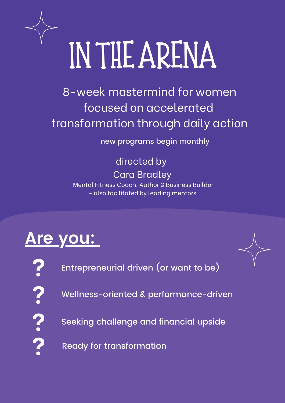

8-week mastermind for women focused on accelerated transformation through daily action

new programs begin monthly

#### directed by Cara Bradley

Mental Fitness Coach, Author & Business Builder - also facilitated by leading mentors

## **Are you:**

?<br>?<br>?<br>?

Entrepreneurial driven (or want to be)

Wellness-oriented & performance-driven

Seeking challenge and financial upside

Ready for transformation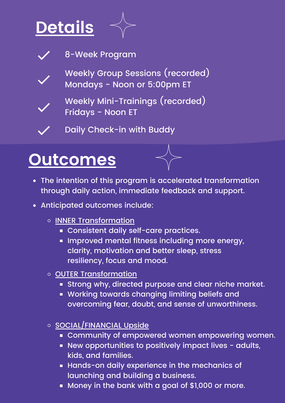# **Details**



$$
\checkmark
$$

8-Week Program



Weekly Group Sessions (recorded) Mondays - Noon or 5:00pm ET



Weekly Mini-Trainings (recorded) Fridays - Noon ET

Daily Check-in with Buddy

## **Outcomes**



- Anticipated outcomes include:
	- o **INNER Transformation** 
		- **Consistent daily self-care practices.**
		- **Improved mental fitness including more energy,** clarity, motivation and better sleep, stress resiliency, focus and mood.
	- o OUTER Transformation
		- **Strong why, directed purpose and clear niche market.**
		- **Working towards changing limiting beliefs and** overcoming fear, doubt, and sense of unworthiness.
	- o SOCIAL/FINANCIAL Upside
		- **EX Community of empowered women empowering women.**
		- New opportunities to positively impact lives adults, kids, and families.
		- **EXTERGIVER IN A Hands-on daily experience in the mechanics of** launching and building a business.
		- **Money in the bank with a goal of \$1,000 or more.**